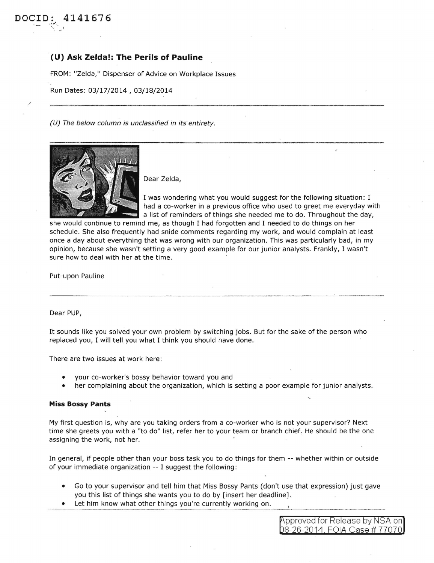## · **(U) Ask Zelda!: The Perils of Pauline**

FROM: "Zelda," Dispenser of Advice on Workplace Issues

Run Dates: 03/17/2014, 03/18/2014

(U) The below column is unclassified in its entirety.



Dear Zelda,

I was wondering what you would suggest for the following situation: I had a co-worker in a previous office who used to greet me everyday with a list of reminders of things she needed me to do. Throughout the day,

she would continue to remind me, as though I had forgotten and I needed to do things on her schedule. She also frequently had snide comments regarding my work, and would complain at least once a day about everything that was wrong with our organization. This was particularly bad, in my opinion, because she wasn't setting a very good example for our junior analysts. Frankly, I wasn't sure how to deal with her at the time.

Put-upon Pauline

Dear PUP,

It sounds like you solved your own problem by switching jobs. But for the sake of the person who replaced you, I will tell you what I think you should have done.

There are two issues at work here:

- your co-worker's bossy behavior toward you and
- her complaining about the organization, which is setting a poor example for junior analysts.

## **Miss Bossy Pants**

My first question is, why are you taking orders from a co-worker who is not your supervisor? Next time she greets you with a "to do" list, refer her to your team or branch chief. He should be the one assigning the work, not her.

In general, if people other than your boss task you to do things for them -- whether within or outside of your immediate organization -- I suggest the following:

- Go to your supervisor and tell him that Miss Bossy Pants (don't use that expression) just gave you this list of things she wants you to do by [insert her deadline].
- Let him know what other things you're currently working on.

pproved for Release by NSA on 8-26-2014 FOIA Case# 77070